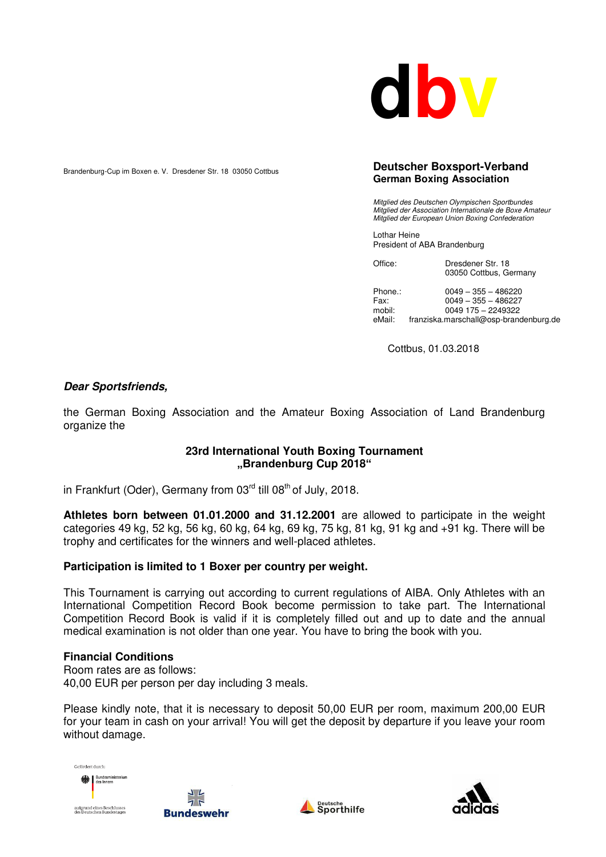

Brandenburg-Cup im Boxen e. V. Dresdener Str. 18 03050 Cottbus

#### **Deutscher Boxsport-Verband German Boxing Association**

*Mitglied des Deutschen Olympischen Sportbundes Mitglied der Association Internationale de Boxe Amateur Mitglied der European Union Boxing Confederation* 

Lothar Heine President of ABA Brandenburg

| Office: | Dresdener Str. 18      |
|---------|------------------------|
|         | 03050 Cottbus, Germany |

Phone.: 0049 – 355 – 486220 Fax: 0049 – 355 – 486227 mobil: 0049 175 – 2249322<br>eMail: franziska.marschall@osp-brance franziska.marschall@osp-brandenburg.de

Cottbus, 01.03.2018

## *Dear Sportsfriends,*

the German Boxing Association and the Amateur Boxing Association of Land Brandenburg organize the

## **23rd International Youth Boxing Tournament "Brandenburg Cup 2018"**

in Frankfurt (Oder), Germany from  $03<sup>rd</sup>$  till  $08<sup>th</sup>$  of July, 2018.

**Athletes born between 01.01.2000 and 31.12.2001** are allowed to participate in the weight categories 49 kg, 52 kg, 56 kg, 60 kg, 64 kg, 69 kg, 75 kg, 81 kg, 91 kg and +91 kg. There will be trophy and certificates for the winners and well-placed athletes.

## **Participation is limited to 1 Boxer per country per weight.**

This Tournament is carrying out according to current regulations of AIBA. Only Athletes with an International Competition Record Book become permission to take part. The International Competition Record Book is valid if it is completely filled out and up to date and the annual medical examination is not older than one year. You have to bring the book with you.

#### **Financial Conditions**

Room rates are as follows: 40,00 EUR per person per day including 3 meals.

Please kindly note, that it is necessary to deposit 50,00 EUR per room, maximum 200,00 EUR for your team in cash on your arrival! You will get the deposit by departure if you leave your room without damage.

Cefördert durch: aufgrund eines Beschlusses<br>des Deutschen Bundestages

**Bundeswehr** 



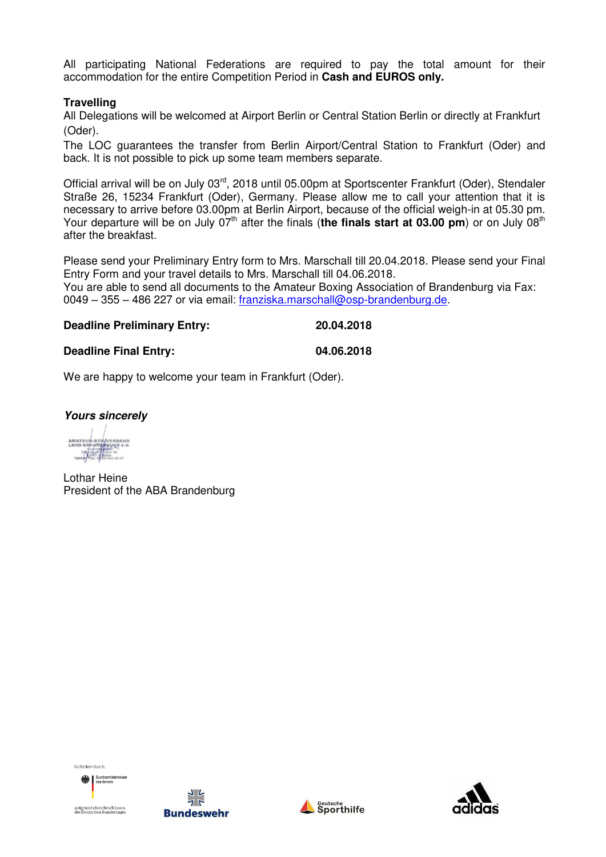All participating National Federations are required to pay the total amount for their accommodation for the entire Competition Period in **Cash and EUROS only.** 

## **Travelling**

All Delegations will be welcomed at Airport Berlin or Central Station Berlin or directly at Frankfurt (Oder).

The LOC guarantees the transfer from Berlin Airport/Central Station to Frankfurt (Oder) and back. It is not possible to pick up some team members separate.

Official arrival will be on July 03<sup>rd</sup>, 2018 until 05.00pm at Sportscenter Frankfurt (Oder), Stendaler Straße 26, 15234 Frankfurt (Oder), Germany. Please allow me to call your attention that it is necessary to arrive before 03.00pm at Berlin Airport, because of the official weigh-in at 05.30 pm. Your departure will be on July 07<sup>th</sup> after the finals (**the finals start at 03.00 pm**) or on July 08<sup>th</sup> after the breakfast.

Please send your Preliminary Entry form to Mrs. Marschall till 20.04.2018. Please send your Final Entry Form and your travel details to Mrs. Marschall till 04.06.2018.

You are able to send all documents to the Amateur Boxing Association of Brandenburg via Fax: 0049 – 355 – 486 227 or via email: [franziska.marschall@osp-brandenburg.de.](mailto:franziska.marschall@osp-brandenburg.de)

# **Deadline Preliminary Entry: 20.04.2018**

### **Deadline Final Entry: 04.06.2018**

We are happy to welcome your team in Frankfurt (Oder).

*Yours sincerely* 

De debarrama<br>3050 galib

Lothar Heine President of the ABA Brandenburg